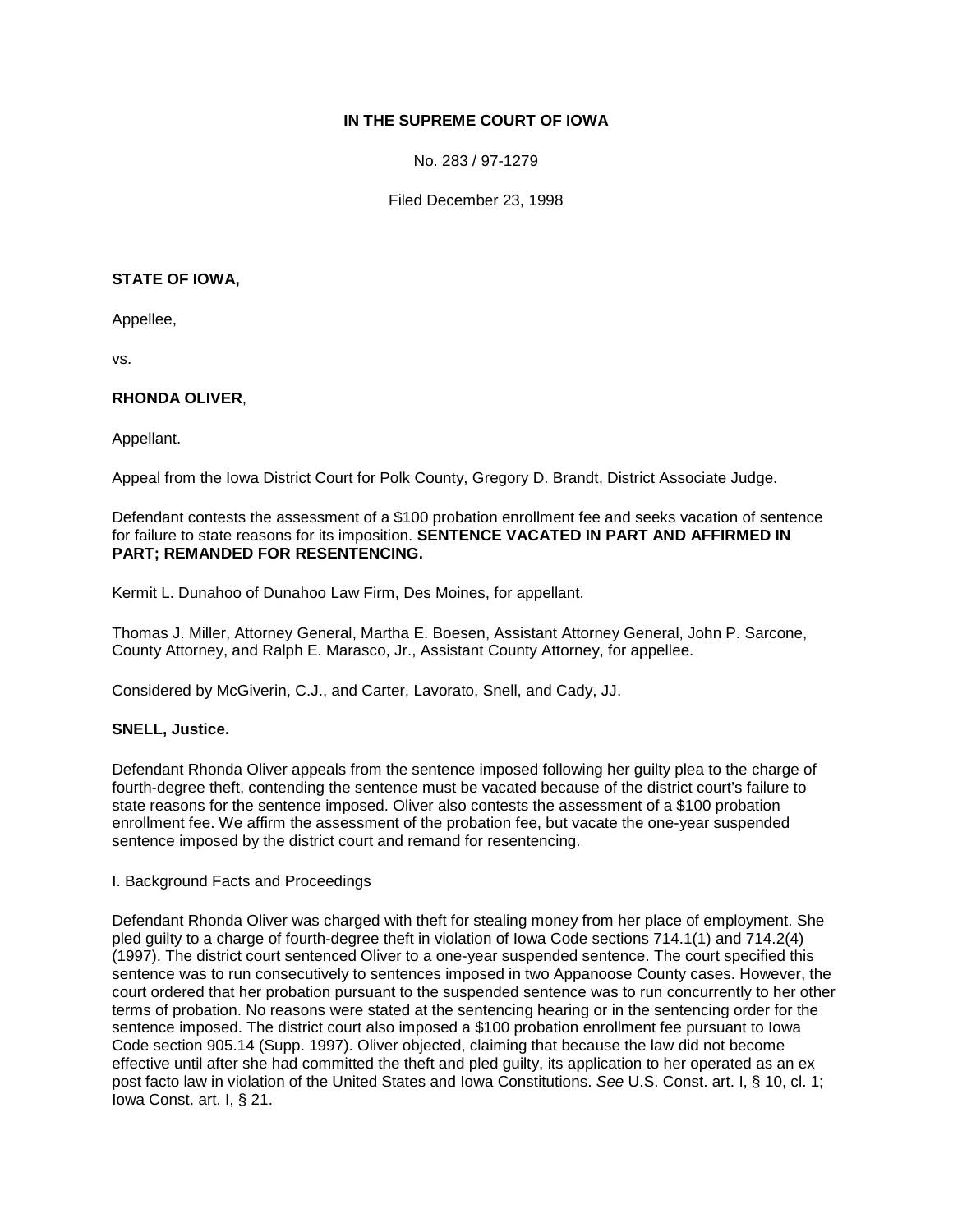# **IN THE SUPREME COURT OF IOWA**

No. 283 / 97-1279

Filed December 23, 1998

### **STATE OF IOWA,**

Appellee,

vs.

## **RHONDA OLIVER**,

Appellant.

Appeal from the Iowa District Court for Polk County, Gregory D. Brandt, District Associate Judge.

Defendant contests the assessment of a \$100 probation enrollment fee and seeks vacation of sentence for failure to state reasons for its imposition. **SENTENCE VACATED IN PART AND AFFIRMED IN PART; REMANDED FOR RESENTENCING.**

Kermit L. Dunahoo of Dunahoo Law Firm, Des Moines, for appellant.

Thomas J. Miller, Attorney General, Martha E. Boesen, Assistant Attorney General, John P. Sarcone, County Attorney, and Ralph E. Marasco, Jr., Assistant County Attorney, for appellee.

Considered by McGiverin, C.J., and Carter, Lavorato, Snell, and Cady, JJ.

## **SNELL, Justice.**

Defendant Rhonda Oliver appeals from the sentence imposed following her guilty plea to the charge of fourth-degree theft, contending the sentence must be vacated because of the district court's failure to state reasons for the sentence imposed. Oliver also contests the assessment of a \$100 probation enrollment fee. We affirm the assessment of the probation fee, but vacate the one-year suspended sentence imposed by the district court and remand for resentencing.

I. Background Facts and Proceedings

Defendant Rhonda Oliver was charged with theft for stealing money from her place of employment. She pled guilty to a charge of fourth-degree theft in violation of Iowa Code sections 714.1(1) and 714.2(4) (1997). The district court sentenced Oliver to a one-year suspended sentence. The court specified this sentence was to run consecutively to sentences imposed in two Appanoose County cases. However, the court ordered that her probation pursuant to the suspended sentence was to run concurrently to her other terms of probation. No reasons were stated at the sentencing hearing or in the sentencing order for the sentence imposed. The district court also imposed a \$100 probation enrollment fee pursuant to Iowa Code section 905.14 (Supp. 1997). Oliver objected, claiming that because the law did not become effective until after she had committed the theft and pled guilty, its application to her operated as an ex post facto law in violation of the United States and Iowa Constitutions. *See* U.S. Const. art. I, § 10, cl. 1; Iowa Const. art. I, § 21.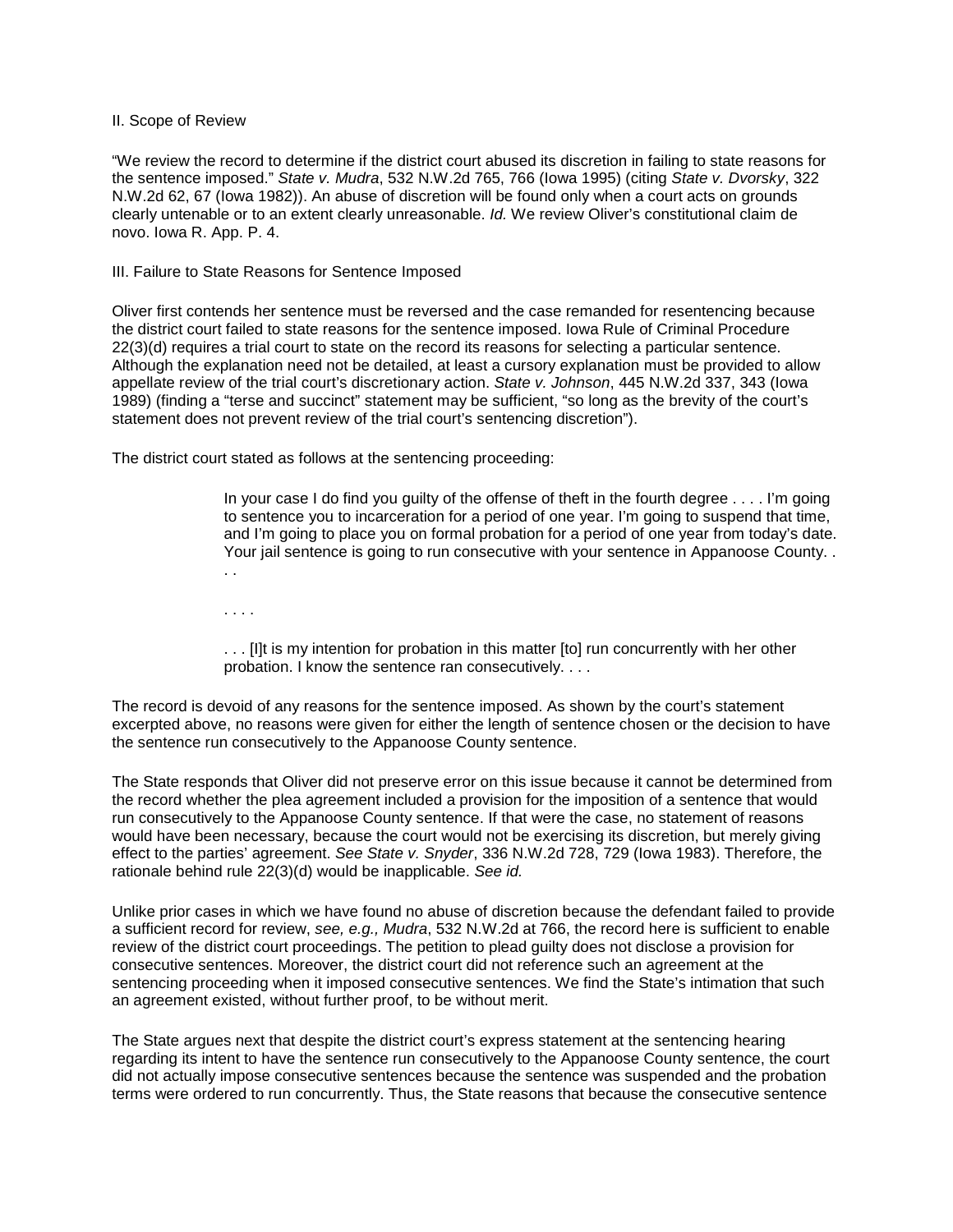#### II. Scope of Review

"We review the record to determine if the district court abused its discretion in failing to state reasons for the sentence imposed." *State v. Mudra*, 532 N.W.2d 765, 766 (Iowa 1995) (citing *State v. Dvorsky*, 322 N.W.2d 62, 67 (Iowa 1982)). An abuse of discretion will be found only when a court acts on grounds clearly untenable or to an extent clearly unreasonable. *Id.* We review Oliver's constitutional claim de novo. Iowa R. App. P. 4.

#### III. Failure to State Reasons for Sentence Imposed

Oliver first contends her sentence must be reversed and the case remanded for resentencing because the district court failed to state reasons for the sentence imposed. Iowa Rule of Criminal Procedure 22(3)(d) requires a trial court to state on the record its reasons for selecting a particular sentence. Although the explanation need not be detailed, at least a cursory explanation must be provided to allow appellate review of the trial court's discretionary action. *State v. Johnson*, 445 N.W.2d 337, 343 (Iowa 1989) (finding a "terse and succinct" statement may be sufficient, "so long as the brevity of the court's statement does not prevent review of the trial court's sentencing discretion").

The district court stated as follows at the sentencing proceeding:

In your case I do find you guilty of the offense of theft in the fourth degree . . . . I'm going to sentence you to incarceration for a period of one year. I'm going to suspend that time, and I'm going to place you on formal probation for a period of one year from today's date. Your jail sentence is going to run consecutive with your sentence in Appanoose County. . . .

. . . .

. . . [I]t is my intention for probation in this matter [to] run concurrently with her other probation. I know the sentence ran consecutively. . . .

The record is devoid of any reasons for the sentence imposed. As shown by the court's statement excerpted above, no reasons were given for either the length of sentence chosen or the decision to have the sentence run consecutively to the Appanoose County sentence.

The State responds that Oliver did not preserve error on this issue because it cannot be determined from the record whether the plea agreement included a provision for the imposition of a sentence that would run consecutively to the Appanoose County sentence. If that were the case, no statement of reasons would have been necessary, because the court would not be exercising its discretion, but merely giving effect to the parties' agreement. *See State v. Snyder*, 336 N.W.2d 728, 729 (Iowa 1983). Therefore, the rationale behind rule 22(3)(d) would be inapplicable. *See id.*

Unlike prior cases in which we have found no abuse of discretion because the defendant failed to provide a sufficient record for review, *see, e.g., Mudra*, 532 N.W.2d at 766, the record here is sufficient to enable review of the district court proceedings. The petition to plead guilty does not disclose a provision for consecutive sentences. Moreover, the district court did not reference such an agreement at the sentencing proceeding when it imposed consecutive sentences. We find the State's intimation that such an agreement existed, without further proof, to be without merit.

The State argues next that despite the district court's express statement at the sentencing hearing regarding its intent to have the sentence run consecutively to the Appanoose County sentence, the court did not actually impose consecutive sentences because the sentence was suspended and the probation terms were ordered to run concurrently. Thus, the State reasons that because the consecutive sentence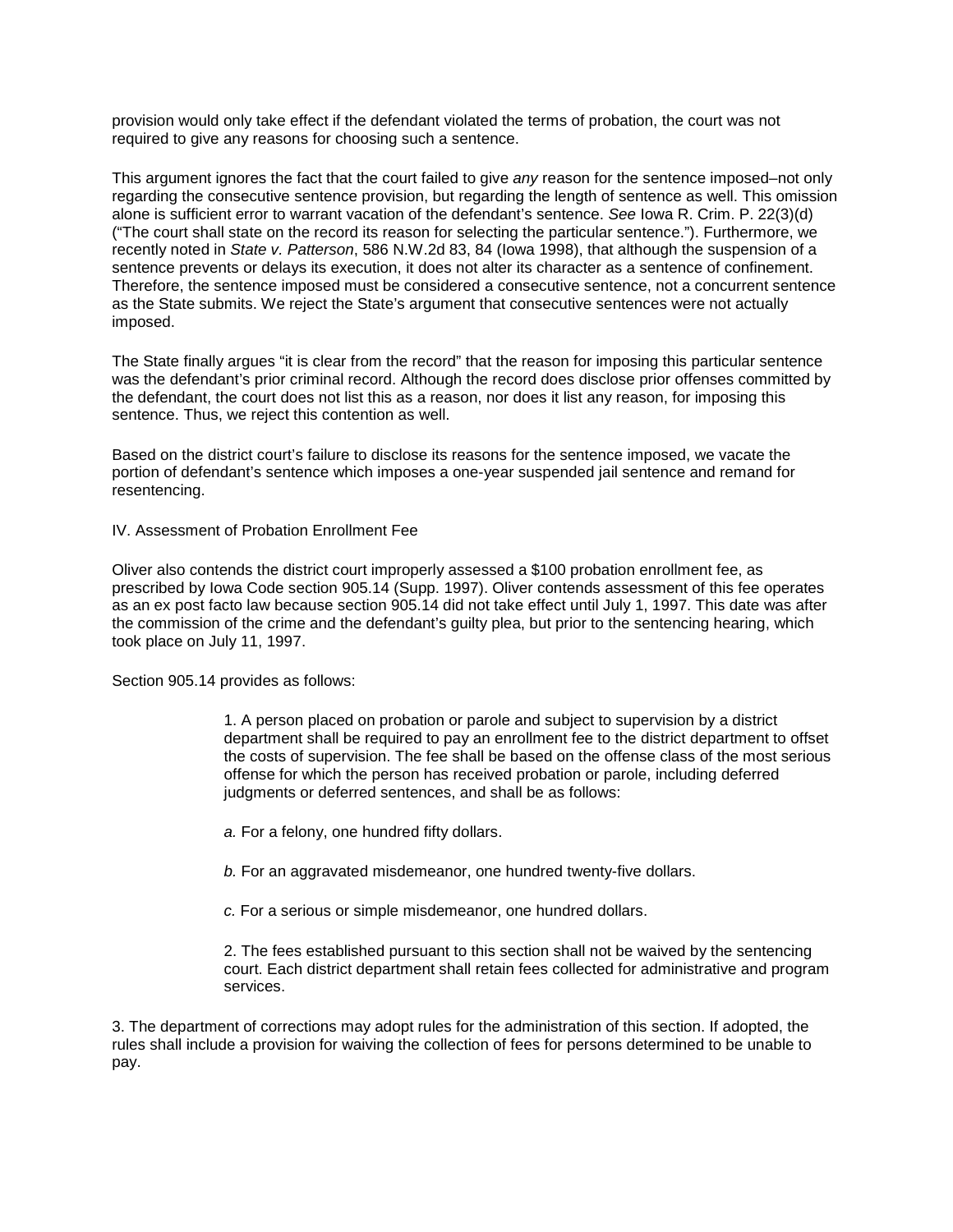provision would only take effect if the defendant violated the terms of probation, the court was not required to give any reasons for choosing such a sentence.

This argument ignores the fact that the court failed to give *any* reason for the sentence imposed–not only regarding the consecutive sentence provision, but regarding the length of sentence as well. This omission alone is sufficient error to warrant vacation of the defendant's sentence. *See* Iowa R. Crim. P. 22(3)(d) ("The court shall state on the record its reason for selecting the particular sentence."). Furthermore, we recently noted in *State v. Patterson*, 586 N.W.2d 83, 84 (Iowa 1998), that although the suspension of a sentence prevents or delays its execution, it does not alter its character as a sentence of confinement. Therefore, the sentence imposed must be considered a consecutive sentence, not a concurrent sentence as the State submits. We reject the State's argument that consecutive sentences were not actually imposed.

The State finally argues "it is clear from the record" that the reason for imposing this particular sentence was the defendant's prior criminal record. Although the record does disclose prior offenses committed by the defendant, the court does not list this as a reason, nor does it list any reason, for imposing this sentence. Thus, we reject this contention as well.

Based on the district court's failure to disclose its reasons for the sentence imposed, we vacate the portion of defendant's sentence which imposes a one-year suspended jail sentence and remand for resentencing.

IV. Assessment of Probation Enrollment Fee

Oliver also contends the district court improperly assessed a \$100 probation enrollment fee, as prescribed by Iowa Code section 905.14 (Supp. 1997). Oliver contends assessment of this fee operates as an ex post facto law because section 905.14 did not take effect until July 1, 1997. This date was after the commission of the crime and the defendant's guilty plea, but prior to the sentencing hearing, which took place on July 11, 1997.

Section 905.14 provides as follows:

1. A person placed on probation or parole and subject to supervision by a district department shall be required to pay an enrollment fee to the district department to offset the costs of supervision. The fee shall be based on the offense class of the most serious offense for which the person has received probation or parole, including deferred judgments or deferred sentences, and shall be as follows:

*a.* For a felony, one hundred fifty dollars.

*b.* For an aggravated misdemeanor, one hundred twenty-five dollars.

*c.* For a serious or simple misdemeanor, one hundred dollars.

2. The fees established pursuant to this section shall not be waived by the sentencing court. Each district department shall retain fees collected for administrative and program services.

3. The department of corrections may adopt rules for the administration of this section. If adopted, the rules shall include a provision for waiving the collection of fees for persons determined to be unable to pay.